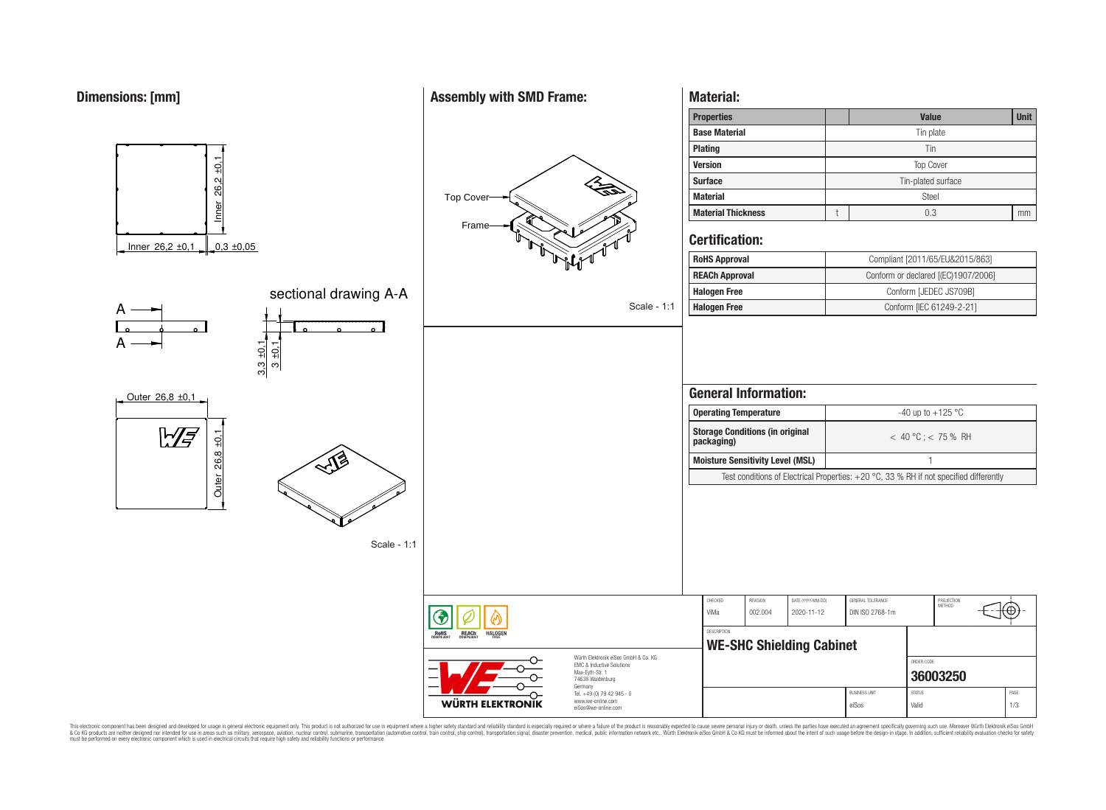

A

A

 $\frac{1}{\sqrt{21}}$ <br>
Inner 26,2 ±0,1 0,3 ±0,05

## **Assembly with SMD Frame:**



Scale - 1:1

**Material:**

| <b>Properties</b>         | <b>Value</b>       |     |    |  |  |  |
|---------------------------|--------------------|-----|----|--|--|--|
| <b>Base Material</b>      | Tin plate          |     |    |  |  |  |
| Plating                   | Tin                |     |    |  |  |  |
| <b>Version</b>            | <b>Top Cover</b>   |     |    |  |  |  |
| <b>Surface</b>            | Tin-plated surface |     |    |  |  |  |
| <b>Material</b>           | Steel              |     |    |  |  |  |
| <b>Material Thickness</b> |                    | 0.3 | mm |  |  |  |

## **Certification:**

| <b>RoHS Approval</b>  | Compliant [2011/65/EU&2015/863]     |
|-----------------------|-------------------------------------|
| <b>REACh Approval</b> | Conform or declared [(EC)1907/2006] |
| <b>Halogen Free</b>   | Conform [JEDEC JS709B]              |
| <b>Halogen Free</b>   | Conform [IEC 61249-2-21]            |

| <b>General Information:</b>                                                              |                         |  |  |  |
|------------------------------------------------------------------------------------------|-------------------------|--|--|--|
| <b>Operating Temperature</b>                                                             | -40 up to $+125$ °C     |  |  |  |
| <b>Storage Conditions (in original</b><br>packaging)                                     | $<$ 40 °C : $<$ 75 % RH |  |  |  |
| <b>Moisture Sensitivity Level (MSL)</b>                                                  |                         |  |  |  |
| Test conditions of Electrical Properties: $+20$ °C, 33 % RH if not specified differently |                         |  |  |  |
|                                                                                          |                         |  |  |  |
|                                                                                          |                         |  |  |  |
|                                                                                          |                         |  |  |  |



Scale - 1:1

sectional drawing A-A

CHECKED REVISION DATE (YYYY-MM-DD) GENERAL TOLERANCE PROJECTION<br>METHOD ⊛ ViMa 002.004 2020-11-12 DIN ISO 2768-1m DESCRIPTION **RoHS REACh** HALOGEI **WE-SHC Shielding Cabinet** Würth Elektronik eiSos GmbH & Co. KG ORDER CODE EMC & Inductive Solutions Max-Eyth-Str. 1 **[36003250](https://katalog.we-online.de/en/pbs/WE-SHC/36003250)** 74638 Waldenburg Germany BUSINESS UNIT STATUS STATUS PAGE Tel. +49 (0) 79 42 945 - 0 www.we-online.com **WÜRTH ELEKTRONIK** eiSos@we-online.com eiSos Valid 1/3

This electronic component has been designed and developed for usage in general electronic equipment only. This product is not authorized for subserved requipment where a higher selection equipment where a higher selection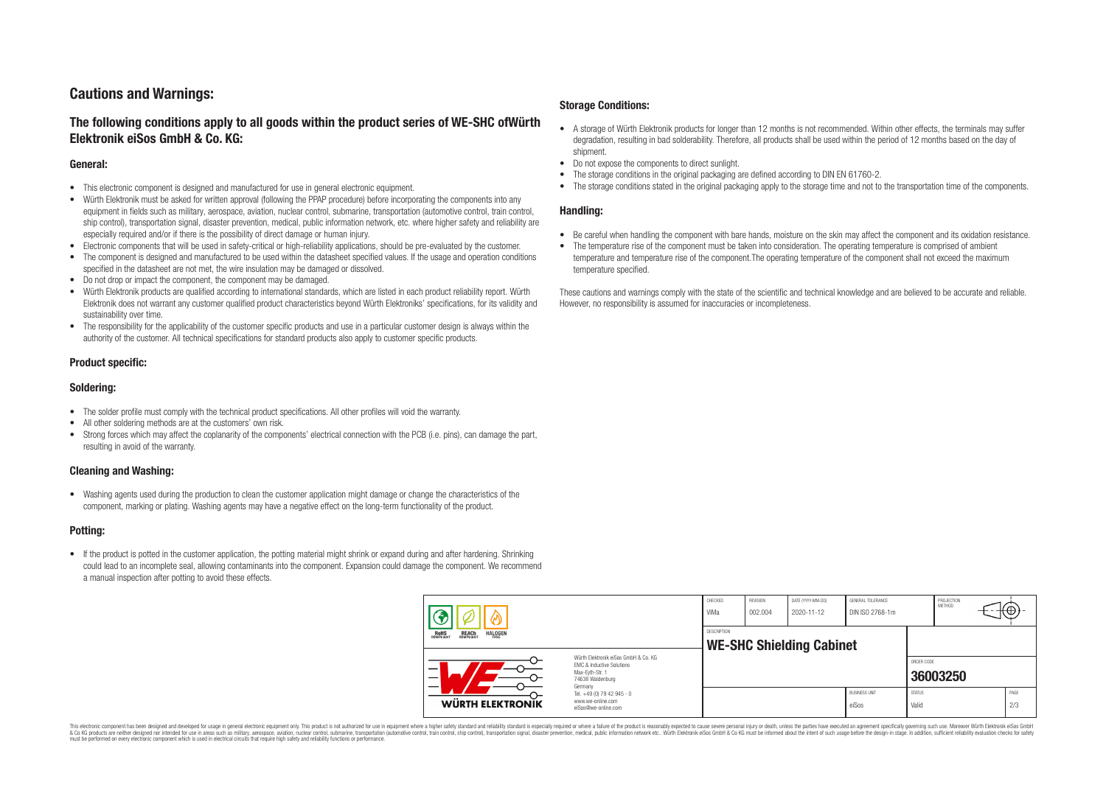# **Cautions and Warnings:**

## **The following conditions apply to all goods within the product series of WE-SHC ofWürth Elektronik eiSos GmbH & Co. KG:**

### **General:**

- This electronic component is designed and manufactured for use in general electronic equipment.
- Würth Elektronik must be asked for written approval (following the PPAP procedure) before incorporating the components into any equipment in fields such as military, aerospace, aviation, nuclear control, submarine, transportation (automotive control, train control, ship control), transportation signal, disaster prevention, medical, public information network, etc. where higher safety and reliability are especially required and/or if there is the possibility of direct damage or human injury.
- Electronic components that will be used in safety-critical or high-reliability applications, should be pre-evaluated by the customer.
- The component is designed and manufactured to be used within the datasheet specified values. If the usage and operation conditions specified in the datasheet are not met, the wire insulation may be damaged or dissolved.
- Do not drop or impact the component, the component may be damaged.
- Würth Elektronik products are qualified according to international standards, which are listed in each product reliability report. Würth Elektronik does not warrant any customer qualified product characteristics beyond Würth Elektroniks' specifications, for its validity and sustainability over time.
- The responsibility for the applicability of the customer specific products and use in a particular customer design is always within the authority of the customer. All technical specifications for standard products also apply to customer specific products.

### **Product specific:**

### **Soldering:**

- The solder profile must comply with the technical product specifications. All other profiles will void the warranty.
- All other soldering methods are at the customers' own risk.
- Strong forces which may affect the coplanarity of the components' electrical connection with the PCB (i.e. pins), can damage the part, resulting in avoid of the warranty.

### **Cleaning and Washing:**

• Washing agents used during the production to clean the customer application might damage or change the characteristics of the component, marking or plating. Washing agents may have a negative effect on the long-term functionality of the product.

### **Potting:**

• If the product is potted in the customer application, the potting material might shrink or expand during and after hardening. Shrinking could lead to an incomplete seal, allowing contaminants into the component. Expansion could damage the component. We recommend a manual inspection after potting to avoid these effects.

### **Storage Conditions:**

- A storage of Würth Elektronik products for longer than 12 months is not recommended. Within other effects, the terminals may suffer degradation, resulting in bad solderability. Therefore, all products shall be used within the period of 12 months based on the day of shipment.
- Do not expose the components to direct sunlight.
- The storage conditions in the original packaging are defined according to DIN EN 61760-2.
- The storage conditions stated in the original packaging apply to the storage time and not to the transportation time of the components.

#### **Handling:**

- Be careful when handling the component with bare hands, moisture on the skin may affect the component and its oxidation resistance.
- The temperature rise of the component must be taken into consideration. The operating temperature is comprised of ambient temperature and temperature rise of the component.The operating temperature of the component shall not exceed the maximum temperature specified.

These cautions and warnings comply with the state of the scientific and technical knowledge and are believed to be accurate and reliable. However, no responsibility is assumed for inaccuracies or incompleteness.

|                                                                                                                          |                                                                        | CHECKED<br>ViMa    | REVISION<br>002.004             | DATE (YYYY-MM-DD)<br>2020-11-12 | GENERAL TOLERANCE<br>DIN ISO 2768-1m |                        | PROJECTION<br>METHOD | ₩ |             |
|--------------------------------------------------------------------------------------------------------------------------|------------------------------------------------------------------------|--------------------|---------------------------------|---------------------------------|--------------------------------------|------------------------|----------------------|---|-------------|
| ROHS<br>COMPLIANT<br>REACH<br>COMPLIANT<br><b>HALOGEN</b><br>FRFF                                                        |                                                                        | <b>DESCRIPTION</b> | <b>WE-SHC Shielding Cabinet</b> |                                 |                                      |                        |                      |   |             |
| Würth Elektronik eiSos GmbH & Co. KG<br>EMC & Inductive Solutions<br>_<br>Max-Eyth-Str. 1<br>74638 Waldenburg<br>Germany |                                                                        |                    |                                 |                                 |                                      | ORDER CODE             | 36003250             |   |             |
| WÜRTH ELEKTRONIK                                                                                                         | Tel. +49 (0) 79 42 945 - 0<br>www.we-online.com<br>eiSos@we-online.com |                    |                                 |                                 | <b>BUSINESS UNIT</b><br>eiSos        | <b>STATUS</b><br>Valid |                      |   | PAGE<br>2/3 |

This electronic component has been designed and developed for usage in general electronic equipment only. This product is not authorized for use in equipment where a higher safety standard and reliability standard is espec & Ook product a label and the membed of the seasuch as marked and as which such a membed and the such assume that income in the seasuch and the simulation and the such assume that include to the such a membed and the such